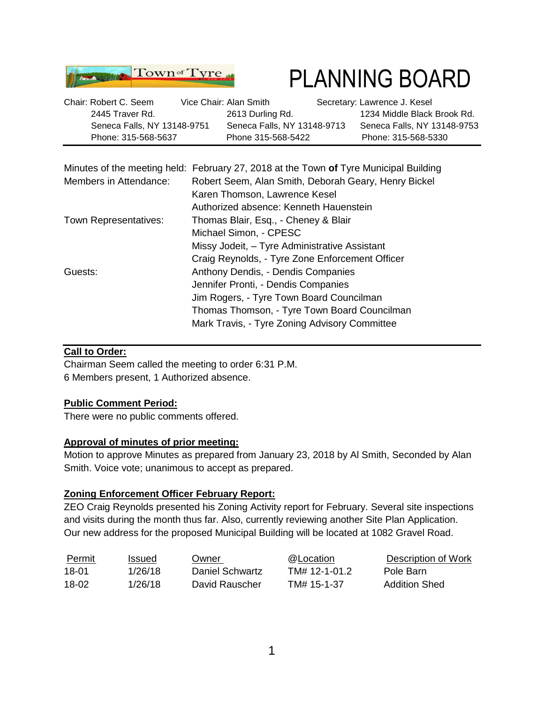

# PLANNING BOARD

| Chair: Robert C. Seem       | Vice Chair: Alan Smith |                             | Secretary: Lawrence J. Kesel |
|-----------------------------|------------------------|-----------------------------|------------------------------|
| 2445 Traver Rd.             |                        | 2613 Durling Rd.            | 1234 Middle Black Brook Rd.  |
| Seneca Falls, NY 13148-9751 |                        | Seneca Falls, NY 13148-9713 | Seneca Falls, NY 13148-9753  |
| Phone: 315-568-5637         |                        | Phone 315-568-5422          | Phone: 315-568-5330          |

|                        | Minutes of the meeting held: February 27, 2018 at the Town of Tyre Municipal Building |  |  |  |  |  |
|------------------------|---------------------------------------------------------------------------------------|--|--|--|--|--|
| Members in Attendance: | Robert Seem, Alan Smith, Deborah Geary, Henry Bickel                                  |  |  |  |  |  |
|                        | Karen Thomson, Lawrence Kesel                                                         |  |  |  |  |  |
|                        | Authorized absence: Kenneth Hauenstein                                                |  |  |  |  |  |
| Town Representatives:  | Thomas Blair, Esq., - Cheney & Blair                                                  |  |  |  |  |  |
|                        | Michael Simon, - CPESC                                                                |  |  |  |  |  |
|                        | Missy Jodeit, - Tyre Administrative Assistant                                         |  |  |  |  |  |
|                        | Craig Reynolds, - Tyre Zone Enforcement Officer                                       |  |  |  |  |  |
| Guests:                | Anthony Dendis, - Dendis Companies                                                    |  |  |  |  |  |
|                        | Jennifer Pronti, - Dendis Companies                                                   |  |  |  |  |  |
|                        | Jim Rogers, - Tyre Town Board Councilman                                              |  |  |  |  |  |
|                        | Thomas Thomson, - Tyre Town Board Councilman                                          |  |  |  |  |  |
|                        | Mark Travis, - Tyre Zoning Advisory Committee                                         |  |  |  |  |  |

#### **Call to Order:**

Chairman Seem called the meeting to order 6:31 P.M. 6 Members present, 1 Authorized absence.

#### **Public Comment Period:**

There were no public comments offered.

#### **Approval of minutes of prior meeting:**

Motion to approve Minutes as prepared from January 23, 2018 by Al Smith, Seconded by Alan Smith. Voice vote; unanimous to accept as prepared.

#### **Zoning Enforcement Officer February Report:**

ZEO Craig Reynolds presented his Zoning Activity report for February. Several site inspections and visits during the month thus far. Also, currently reviewing another Site Plan Application. Our new address for the proposed Municipal Building will be located at 1082 Gravel Road.

| Permit | Issued  | Owner           | @Location     | Description of Work |
|--------|---------|-----------------|---------------|---------------------|
| 18-01  | 1/26/18 | Daniel Schwartz | TM# 12-1-01.2 | Pole Barn           |
| 18-02  | 1/26/18 | David Rauscher  | TM# 15-1-37   | Addition Shed       |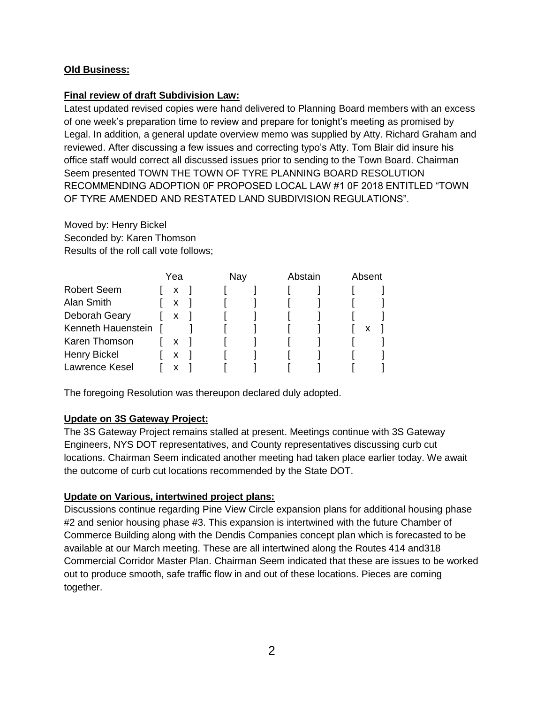### **Old Business:**

#### **Final review of draft Subdivision Law:**

Latest updated revised copies were hand delivered to Planning Board members with an excess of one week's preparation time to review and prepare for tonight's meeting as promised by Legal. In addition, a general update overview memo was supplied by Atty. Richard Graham and reviewed. After discussing a few issues and correcting typo's Atty. Tom Blair did insure his office staff would correct all discussed issues prior to sending to the Town Board. Chairman Seem presented TOWN THE TOWN OF TYRE PLANNING BOARD RESOLUTION RECOMMENDING ADOPTION 0F PROPOSED LOCAL LAW #1 0F 2018 ENTITLED "TOWN OF TYRE AMENDED AND RESTATED LAND SUBDIVISION REGULATIONS".

Moved by: Henry Bickel Seconded by: Karen Thomson Results of the roll call vote follows;

|                    |  | Yea |  | Nay |  | Abstain |  | Absent |   |  |
|--------------------|--|-----|--|-----|--|---------|--|--------|---|--|
| <b>Robert Seem</b> |  | X   |  |     |  |         |  |        |   |  |
| Alan Smith         |  | X   |  |     |  |         |  |        |   |  |
| Deborah Geary      |  | X   |  |     |  |         |  |        |   |  |
| Kenneth Hauenstein |  |     |  |     |  |         |  |        | х |  |
| Karen Thomson      |  | x   |  |     |  |         |  |        |   |  |
| Henry Bickel       |  | X   |  |     |  |         |  |        |   |  |
| Lawrence Kesel     |  | х   |  |     |  |         |  |        |   |  |

The foregoing Resolution was thereupon declared duly adopted.

#### **Update on 3S Gateway Project:**

The 3S Gateway Project remains stalled at present. Meetings continue with 3S Gateway Engineers, NYS DOT representatives, and County representatives discussing curb cut locations. Chairman Seem indicated another meeting had taken place earlier today. We await the outcome of curb cut locations recommended by the State DOT.

#### **Update on Various, intertwined project plans:**

Discussions continue regarding Pine View Circle expansion plans for additional housing phase #2 and senior housing phase #3. This expansion is intertwined with the future Chamber of Commerce Building along with the Dendis Companies concept plan which is forecasted to be available at our March meeting. These are all intertwined along the Routes 414 and318 Commercial Corridor Master Plan. Chairman Seem indicated that these are issues to be worked out to produce smooth, safe traffic flow in and out of these locations. Pieces are coming together.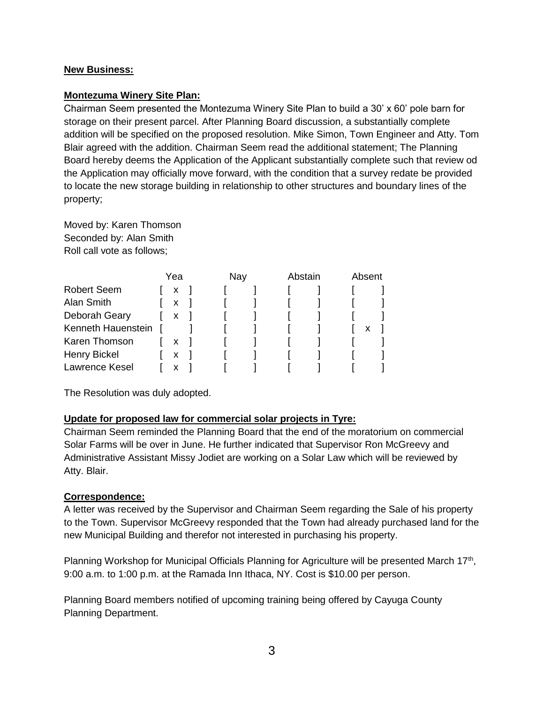#### **New Business:**

#### **Montezuma Winery Site Plan:**

Chairman Seem presented the Montezuma Winery Site Plan to build a 30' x 60' pole barn for storage on their present parcel. After Planning Board discussion, a substantially complete addition will be specified on the proposed resolution. Mike Simon, Town Engineer and Atty. Tom Blair agreed with the addition. Chairman Seem read the additional statement; The Planning Board hereby deems the Application of the Applicant substantially complete such that review od the Application may officially move forward, with the condition that a survey redate be provided to locate the new storage building in relationship to other structures and boundary lines of the property;

Moved by: Karen Thomson Seconded by: Alan Smith Roll call vote as follows;

|                    |  | Yea |  | Nay |  | Abstain |  | Absent |   |
|--------------------|--|-----|--|-----|--|---------|--|--------|---|
| <b>Robert Seem</b> |  | x   |  |     |  |         |  |        |   |
| Alan Smith         |  | X   |  |     |  |         |  |        |   |
| Deborah Geary      |  | X   |  |     |  |         |  |        |   |
| Kenneth Hauenstein |  |     |  |     |  |         |  |        | х |
| Karen Thomson      |  | X   |  |     |  |         |  |        |   |
| Henry Bickel       |  | x   |  |     |  |         |  |        |   |
| Lawrence Kesel     |  |     |  |     |  |         |  |        |   |

The Resolution was duly adopted.

#### **Update for proposed law for commercial solar projects in Tyre:**

Chairman Seem reminded the Planning Board that the end of the moratorium on commercial Solar Farms will be over in June. He further indicated that Supervisor Ron McGreevy and Administrative Assistant Missy Jodiet are working on a Solar Law which will be reviewed by Atty. Blair.

#### **Correspondence:**

A letter was received by the Supervisor and Chairman Seem regarding the Sale of his property to the Town. Supervisor McGreevy responded that the Town had already purchased land for the new Municipal Building and therefor not interested in purchasing his property.

Planning Workshop for Municipal Officials Planning for Agriculture will be presented March 17<sup>th</sup>, 9:00 a.m. to 1:00 p.m. at the Ramada Inn Ithaca, NY. Cost is \$10.00 per person.

Planning Board members notified of upcoming training being offered by Cayuga County Planning Department.